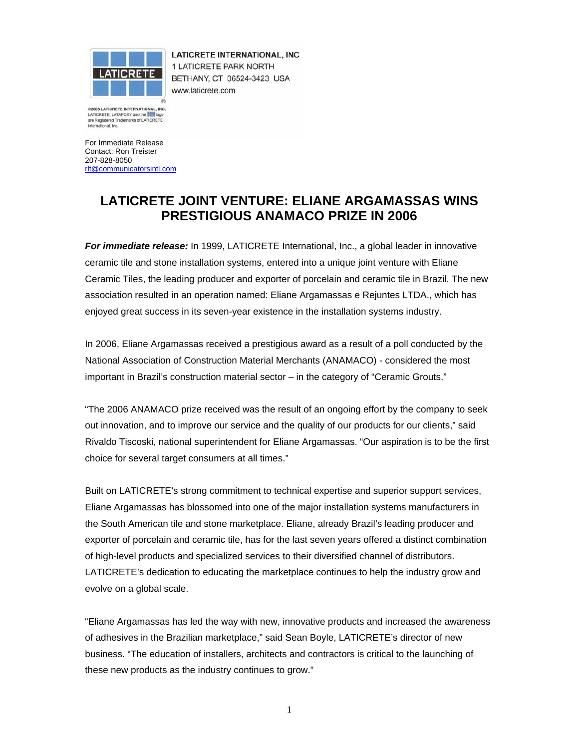

LATICRETE INTERNATIONAL, INC 1 LATICRETE PARK NORTH BETHANY, CT 06524-3423 USA www.laticrete.com

@2005 LATICRETE INTERNATIONAL, INC. LATICRETE, LATAPOXY and the **The logody CATICRETE** International, Inc.

For Immediate Release Contact: Ron Treister 207-828-8050 rlt@communicatorsintl.com

## **LATICRETE JOINT VENTURE: ELIANE ARGAMASSAS WINS PRESTIGIOUS ANAMACO PRIZE IN 2006**

*For immediate release:* In 1999, LATICRETE International, Inc., a global leader in innovative ceramic tile and stone installation systems, entered into a unique joint venture with Eliane Ceramic Tiles, the leading producer and exporter of porcelain and ceramic tile in Brazil. The new association resulted in an operation named: Eliane Argamassas e Rejuntes LTDA., which has enjoyed great success in its seven-year existence in the installation systems industry.

In 2006, Eliane Argamassas received a prestigious award as a result of a poll conducted by the National Association of Construction Material Merchants (ANAMACO) - considered the most important in Brazil's construction material sector – in the category of "Ceramic Grouts."

"The 2006 ANAMACO prize received was the result of an ongoing effort by the company to seek out innovation, and to improve our service and the quality of our products for our clients," said Rivaldo Tiscoski, national superintendent for Eliane Argamassas. "Our aspiration is to be the first choice for several target consumers at all times."

Built on LATICRETE's strong commitment to technical expertise and superior support services, Eliane Argamassas has blossomed into one of the major installation systems manufacturers in the South American tile and stone marketplace. Eliane, already Brazil's leading producer and exporter of porcelain and ceramic tile, has for the last seven years offered a distinct combination of high-level products and specialized services to their diversified channel of distributors. LATICRETE's dedication to educating the marketplace continues to help the industry grow and evolve on a global scale.

"Eliane Argamassas has led the way with new, innovative products and increased the awareness of adhesives in the Brazilian marketplace," said Sean Boyle, LATICRETE's director of new business. "The education of installers, architects and contractors is critical to the launching of these new products as the industry continues to grow."

1